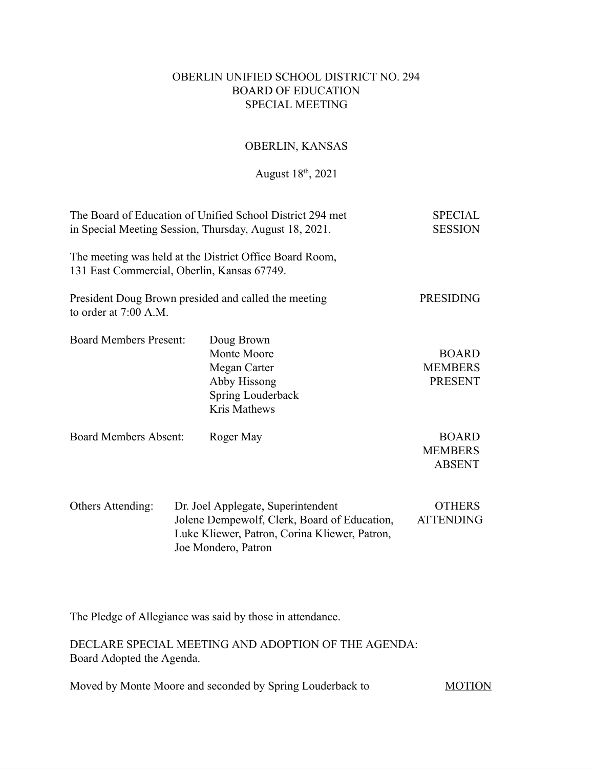## OBERLIN UNIFIED SCHOOL DISTRICT NO. 294 BOARD OF EDUCATION SPECIAL MEETING

# OBERLIN, KANSAS

August 18<sup>th</sup>, 2021

| The Board of Education of Unified School District 294 met<br>in Special Meeting Session, Thursday, August 18, 2021. | <b>SPECIAL</b><br><b>SESSION</b> |                                                                                                                                                            |                                                  |
|---------------------------------------------------------------------------------------------------------------------|----------------------------------|------------------------------------------------------------------------------------------------------------------------------------------------------------|--------------------------------------------------|
| 131 East Commercial, Oberlin, Kansas 67749.                                                                         |                                  | The meeting was held at the District Office Board Room,                                                                                                    |                                                  |
| to order at $7:00$ A.M.                                                                                             |                                  | President Doug Brown presided and called the meeting                                                                                                       | <b>PRESIDING</b>                                 |
| <b>Board Members Present:</b>                                                                                       |                                  | Doug Brown<br>Monte Moore<br>Megan Carter<br>Abby Hissong<br>Spring Louderback<br>Kris Mathews                                                             | <b>BOARD</b><br><b>MEMBERS</b><br><b>PRESENT</b> |
| <b>Board Members Absent:</b>                                                                                        |                                  | Roger May                                                                                                                                                  | <b>BOARD</b><br><b>MEMBERS</b><br><b>ABSENT</b>  |
| Others Attending:                                                                                                   |                                  | Dr. Joel Applegate, Superintendent<br>Jolene Dempewolf, Clerk, Board of Education,<br>Luke Kliewer, Patron, Corina Kliewer, Patron,<br>Joe Mondero, Patron | <b>OTHERS</b><br><b>ATTENDING</b>                |

The Pledge of Allegiance was said by those in attendance.

DECLARE SPECIAL MEETING AND ADOPTION OF THE AGENDA: Board Adopted the Agenda.

Moved by Monte Moore and seconded by Spring Louderback to MOTION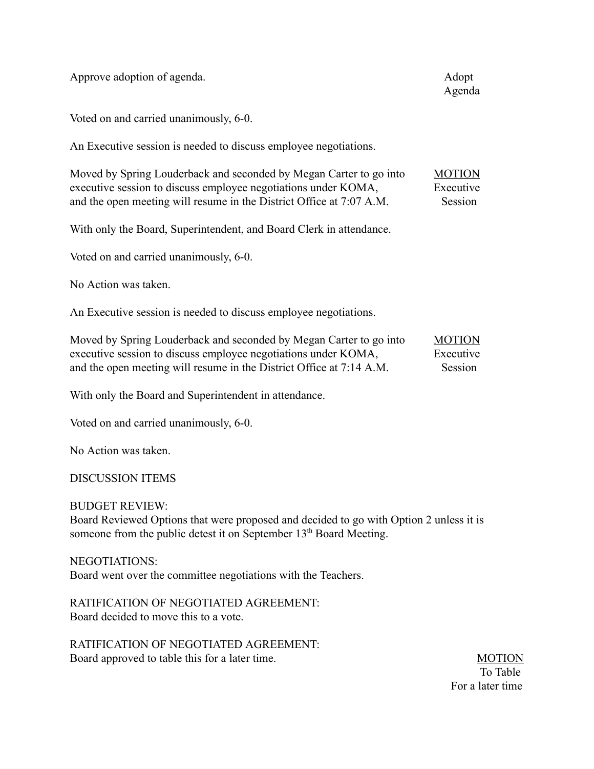Approve adoption of agenda. Adoption of agenda.

Voted on and carried unanimously, 6-0.

An Executive session is needed to discuss employee negotiations.

| Moved by Spring Louderback and seconded by Megan Carter to go into   | <b>MOTION</b> |
|----------------------------------------------------------------------|---------------|
| executive session to discuss employee negotiations under KOMA,       | Executive     |
| and the open meeting will resume in the District Office at 7:07 A.M. | Session       |

With only the Board, Superintendent, and Board Clerk in attendance.

Voted on and carried unanimously, 6-0.

No Action was taken.

An Executive session is needed to discuss employee negotiations.

| Moved by Spring Louderback and seconded by Megan Carter to go into   | <b>MOTION</b> |
|----------------------------------------------------------------------|---------------|
| executive session to discuss employee negotiations under KOMA,       | Executive     |
| and the open meeting will resume in the District Office at 7:14 A.M. | Session       |

With only the Board and Superintendent in attendance.

Voted on and carried unanimously, 6-0.

No Action was taken.

### DISCUSSION ITEMS

### BUDGET REVIEW:

Board Reviewed Options that were proposed and decided to go with Option 2 unless it is someone from the public detest it on September 13<sup>th</sup> Board Meeting.

### NEGOTIATIONS:

Board went over the committee negotiations with the Teachers.

RATIFICATION OF NEGOTIATED AGREEMENT: Board decided to move this to a vote.

RATIFICATION OF NEGOTIATED AGREEMENT: Board approved to table this for a later time. MOTION

 To Table For a later time

Agenda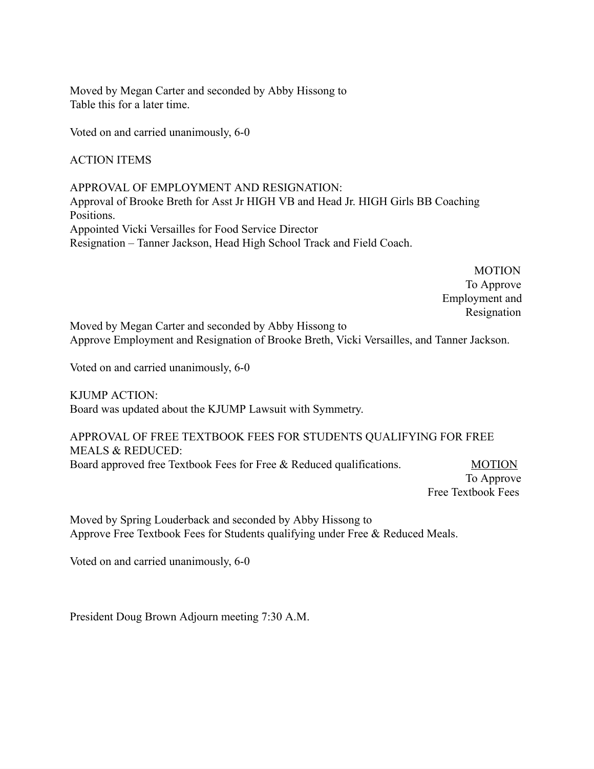Moved by Megan Carter and seconded by Abby Hissong to Table this for a later time.

Voted on and carried unanimously, 6-0

ACTION ITEMS

APPROVAL OF EMPLOYMENT AND RESIGNATION: Approval of Brooke Breth for Asst Jr HIGH VB and Head Jr. HIGH Girls BB Coaching Positions. Appointed Vicki Versailles for Food Service Director Resignation – Tanner Jackson, Head High School Track and Field Coach.

> **MOTION**  To Approve Employment and Resignation

Moved by Megan Carter and seconded by Abby Hissong to Approve Employment and Resignation of Brooke Breth, Vicki Versailles, and Tanner Jackson.

Voted on and carried unanimously, 6-0

KJUMP ACTION: Board was updated about the KJUMP Lawsuit with Symmetry.

APPROVAL OF FREE TEXTBOOK FEES FOR STUDENTS QUALIFYING FOR FREE MEALS & REDUCED: Board approved free Textbook Fees for Free & Reduced qualifications. MOTION

 To Approve Free Textbook Fees

Moved by Spring Louderback and seconded by Abby Hissong to Approve Free Textbook Fees for Students qualifying under Free & Reduced Meals.

Voted on and carried unanimously, 6-0

President Doug Brown Adjourn meeting 7:30 A.M.